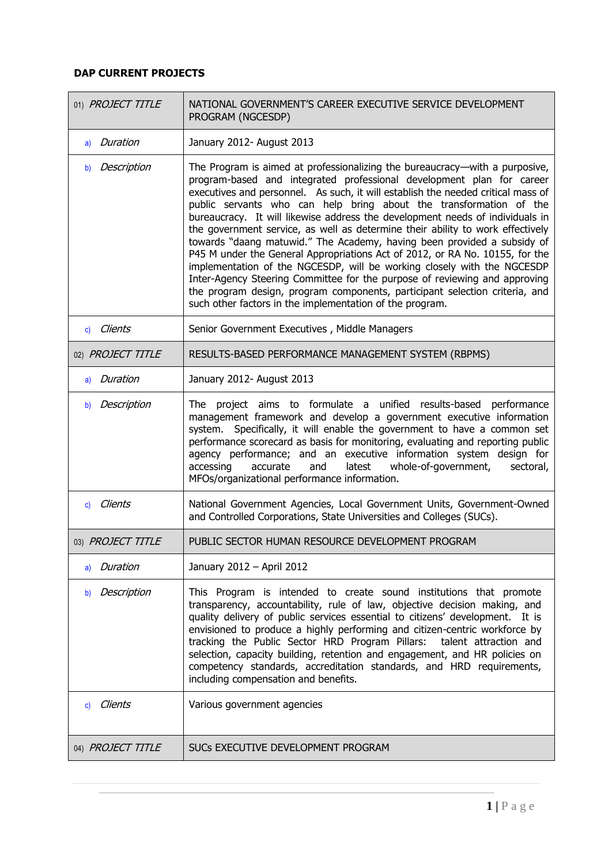| 01) PROJECT TITLE | NATIONAL GOVERNMENT'S CAREER EXECUTIVE SERVICE DEVELOPMENT<br>PROGRAM (NGCESDP)                                                                                                                                                                                                                                                                                                                                                                                                                                                                                                                                                                                                                                                                                                                                                                                                                                                                  |
|-------------------|--------------------------------------------------------------------------------------------------------------------------------------------------------------------------------------------------------------------------------------------------------------------------------------------------------------------------------------------------------------------------------------------------------------------------------------------------------------------------------------------------------------------------------------------------------------------------------------------------------------------------------------------------------------------------------------------------------------------------------------------------------------------------------------------------------------------------------------------------------------------------------------------------------------------------------------------------|
| a) Duration       | January 2012- August 2013                                                                                                                                                                                                                                                                                                                                                                                                                                                                                                                                                                                                                                                                                                                                                                                                                                                                                                                        |
| Description<br>b) | The Program is aimed at professionalizing the bureaucracy—with a purposive,<br>program-based and integrated professional development plan for career<br>executives and personnel. As such, it will establish the needed critical mass of<br>public servants who can help bring about the transformation of the<br>bureaucracy. It will likewise address the development needs of individuals in<br>the government service, as well as determine their ability to work effectively<br>towards "daang matuwid." The Academy, having been provided a subsidy of<br>P45 M under the General Appropriations Act of 2012, or RA No. 10155, for the<br>implementation of the NGCESDP, will be working closely with the NGCESDP<br>Inter-Agency Steering Committee for the purpose of reviewing and approving<br>the program design, program components, participant selection criteria, and<br>such other factors in the implementation of the program. |
| c) Clients        | Senior Government Executives, Middle Managers                                                                                                                                                                                                                                                                                                                                                                                                                                                                                                                                                                                                                                                                                                                                                                                                                                                                                                    |
| 02) PROJECT TITLE | RESULTS-BASED PERFORMANCE MANAGEMENT SYSTEM (RBPMS)                                                                                                                                                                                                                                                                                                                                                                                                                                                                                                                                                                                                                                                                                                                                                                                                                                                                                              |
| a) Duration       | January 2012- August 2013                                                                                                                                                                                                                                                                                                                                                                                                                                                                                                                                                                                                                                                                                                                                                                                                                                                                                                                        |
| Description<br>b) | The project aims to formulate a unified results-based performance<br>management framework and develop a government executive information<br>system. Specifically, it will enable the government to have a common set<br>performance scorecard as basis for monitoring, evaluating and reporting public<br>agency performance; and an executive information system design for<br>accessing<br>whole-of-government,<br>accurate<br>and<br>latest<br>sectoral,<br>MFOs/organizational performance information.                                                                                                                                                                                                                                                                                                                                                                                                                                      |
| c) Clients        | National Government Agencies, Local Government Units, Government-Owned<br>and Controlled Corporations, State Universities and Colleges (SUCs).                                                                                                                                                                                                                                                                                                                                                                                                                                                                                                                                                                                                                                                                                                                                                                                                   |
| 03) PROJECT TITLE | PUBLIC SECTOR HUMAN RESOURCE DEVELOPMENT PROGRAM                                                                                                                                                                                                                                                                                                                                                                                                                                                                                                                                                                                                                                                                                                                                                                                                                                                                                                 |
| a) Duration       | January 2012 - April 2012                                                                                                                                                                                                                                                                                                                                                                                                                                                                                                                                                                                                                                                                                                                                                                                                                                                                                                                        |
| Description<br>b) | This Program is intended to create sound institutions that promote<br>transparency, accountability, rule of law, objective decision making, and<br>quality delivery of public services essential to citizens' development. It is<br>envisioned to produce a highly performing and citizen-centric workforce by<br>tracking the Public Sector HRD Program Pillars:<br>talent attraction and<br>selection, capacity building, retention and engagement, and HR policies on<br>competency standards, accreditation standards, and HRD requirements,<br>including compensation and benefits.                                                                                                                                                                                                                                                                                                                                                         |
| c) Clients        | Various government agencies                                                                                                                                                                                                                                                                                                                                                                                                                                                                                                                                                                                                                                                                                                                                                                                                                                                                                                                      |
| 04) PROJECT TITLE | SUCs EXECUTIVE DEVELOPMENT PROGRAM                                                                                                                                                                                                                                                                                                                                                                                                                                                                                                                                                                                                                                                                                                                                                                                                                                                                                                               |

 $\mathbb{R}^2$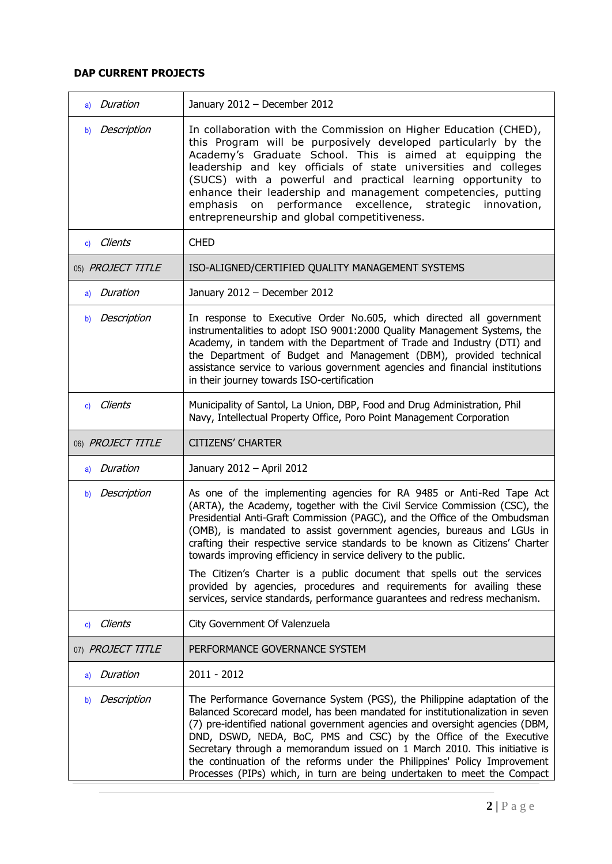| a) Duration             | January 2012 - December 2012                                                                                                                                                                                                                                                                                                                                                                                                                                                                                                                                                                                                                                                                  |
|-------------------------|-----------------------------------------------------------------------------------------------------------------------------------------------------------------------------------------------------------------------------------------------------------------------------------------------------------------------------------------------------------------------------------------------------------------------------------------------------------------------------------------------------------------------------------------------------------------------------------------------------------------------------------------------------------------------------------------------|
| Description<br>b)       | In collaboration with the Commission on Higher Education (CHED),<br>this Program will be purposively developed particularly by the<br>Academy's Graduate School. This is aimed at equipping the<br>leadership and key officials of state universities and colleges<br>(SUCS) with a powerful and practical learning opportunity to<br>enhance their leadership and management competencies, putting<br>performance<br>excellence, strategic<br>emphasis<br>on<br>innovation,<br>entrepreneurship and global competitiveness.                                                                                                                                                                  |
| c) Clients              | <b>CHED</b>                                                                                                                                                                                                                                                                                                                                                                                                                                                                                                                                                                                                                                                                                   |
| 05) PROJECT TITLE       | ISO-ALIGNED/CERTIFIED QUALITY MANAGEMENT SYSTEMS                                                                                                                                                                                                                                                                                                                                                                                                                                                                                                                                                                                                                                              |
| a) Duration             | January 2012 - December 2012                                                                                                                                                                                                                                                                                                                                                                                                                                                                                                                                                                                                                                                                  |
| Description<br>b)       | In response to Executive Order No.605, which directed all government<br>instrumentalities to adopt ISO 9001:2000 Quality Management Systems, the<br>Academy, in tandem with the Department of Trade and Industry (DTI) and<br>the Department of Budget and Management (DBM), provided technical<br>assistance service to various government agencies and financial institutions<br>in their journey towards ISO-certification                                                                                                                                                                                                                                                                 |
| c) Clients              | Municipality of Santol, La Union, DBP, Food and Drug Administration, Phil<br>Navy, Intellectual Property Office, Poro Point Management Corporation                                                                                                                                                                                                                                                                                                                                                                                                                                                                                                                                            |
| 06) PROJECT TITLE       | <b>CITIZENS' CHARTER</b>                                                                                                                                                                                                                                                                                                                                                                                                                                                                                                                                                                                                                                                                      |
| a) Duration             | January 2012 - April 2012                                                                                                                                                                                                                                                                                                                                                                                                                                                                                                                                                                                                                                                                     |
| Description<br>b)       | As one of the implementing agencies for RA 9485 or Anti-Red Tape Act<br>(ARTA), the Academy, together with the Civil Service Commission (CSC), the<br>Presidential Anti-Graft Commission (PAGC), and the Office of the Ombudsman<br>(OMB), is mandated to assist government agencies, bureaus and LGUs in<br>crafting their respective service standards to be known as Citizens' Charter<br>towards improving efficiency in service delivery to the public.<br>The Citizen's Charter is a public document that spells out the services<br>provided by agencies, procedures and requirements for availing these<br>services, service standards, performance guarantees and redress mechanism. |
| Clients<br>$\mathbf{c}$ | City Government Of Valenzuela                                                                                                                                                                                                                                                                                                                                                                                                                                                                                                                                                                                                                                                                 |
| 07) PROJECT TITLE       | PERFORMANCE GOVERNANCE SYSTEM                                                                                                                                                                                                                                                                                                                                                                                                                                                                                                                                                                                                                                                                 |
| Duration<br>a)          | $2011 - 2012$                                                                                                                                                                                                                                                                                                                                                                                                                                                                                                                                                                                                                                                                                 |
| Description<br>b)       | The Performance Governance System (PGS), the Philippine adaptation of the<br>Balanced Scorecard model, has been mandated for institutionalization in seven<br>(7) pre-identified national government agencies and oversight agencies (DBM,<br>DND, DSWD, NEDA, BoC, PMS and CSC) by the Office of the Executive<br>Secretary through a memorandum issued on 1 March 2010. This initiative is<br>the continuation of the reforms under the Philippines' Policy Improvement<br>Processes (PIPs) which, in turn are being undertaken to meet the Compact                                                                                                                                         |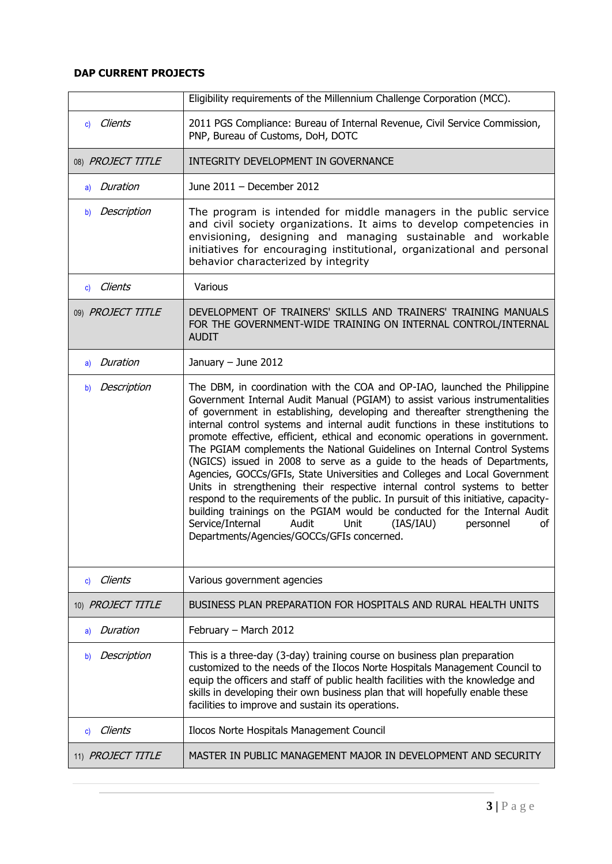|                   | Eligibility requirements of the Millennium Challenge Corporation (MCC).                                                                                                                                                                                                                                                                                                                                                                                                                                                                                                                                                                                                                                                                                                                                                                                                                                                                                                                                              |
|-------------------|----------------------------------------------------------------------------------------------------------------------------------------------------------------------------------------------------------------------------------------------------------------------------------------------------------------------------------------------------------------------------------------------------------------------------------------------------------------------------------------------------------------------------------------------------------------------------------------------------------------------------------------------------------------------------------------------------------------------------------------------------------------------------------------------------------------------------------------------------------------------------------------------------------------------------------------------------------------------------------------------------------------------|
| c) Clients        | 2011 PGS Compliance: Bureau of Internal Revenue, Civil Service Commission,<br>PNP, Bureau of Customs, DoH, DOTC                                                                                                                                                                                                                                                                                                                                                                                                                                                                                                                                                                                                                                                                                                                                                                                                                                                                                                      |
| 08) PROJECT TITLE | INTEGRITY DEVELOPMENT IN GOVERNANCE                                                                                                                                                                                                                                                                                                                                                                                                                                                                                                                                                                                                                                                                                                                                                                                                                                                                                                                                                                                  |
| a) Duration       | June 2011 - December 2012                                                                                                                                                                                                                                                                                                                                                                                                                                                                                                                                                                                                                                                                                                                                                                                                                                                                                                                                                                                            |
| Description<br>b) | The program is intended for middle managers in the public service<br>and civil society organizations. It aims to develop competencies in<br>envisioning, designing and managing sustainable and workable<br>initiatives for encouraging institutional, organizational and personal<br>behavior characterized by integrity                                                                                                                                                                                                                                                                                                                                                                                                                                                                                                                                                                                                                                                                                            |
| Clients<br>c)     | Various                                                                                                                                                                                                                                                                                                                                                                                                                                                                                                                                                                                                                                                                                                                                                                                                                                                                                                                                                                                                              |
| 09) PROJECT TITLE | DEVELOPMENT OF TRAINERS' SKILLS AND TRAINERS' TRAINING MANUALS<br>FOR THE GOVERNMENT-WIDE TRAINING ON INTERNAL CONTROL/INTERNAL<br><b>AUDIT</b>                                                                                                                                                                                                                                                                                                                                                                                                                                                                                                                                                                                                                                                                                                                                                                                                                                                                      |
| Duration<br>a)    | January $-$ June 2012                                                                                                                                                                                                                                                                                                                                                                                                                                                                                                                                                                                                                                                                                                                                                                                                                                                                                                                                                                                                |
| Description<br>b) | The DBM, in coordination with the COA and OP-IAO, launched the Philippine<br>Government Internal Audit Manual (PGIAM) to assist various instrumentalities<br>of government in establishing, developing and thereafter strengthening the<br>internal control systems and internal audit functions in these institutions to<br>promote effective, efficient, ethical and economic operations in government.<br>The PGIAM complements the National Guidelines on Internal Control Systems<br>(NGICS) issued in 2008 to serve as a guide to the heads of Departments,<br>Agencies, GOCCs/GFIs, State Universities and Colleges and Local Government<br>Units in strengthening their respective internal control systems to better<br>respond to the requirements of the public. In pursuit of this initiative, capacity-<br>building trainings on the PGIAM would be conducted for the Internal Audit<br>Service/Internal<br>(IAS/IAU)<br>Audit<br>Unit<br>personnel<br>οf<br>Departments/Agencies/GOCCs/GFIs concerned. |
| Clients<br>c)     | Various government agencies                                                                                                                                                                                                                                                                                                                                                                                                                                                                                                                                                                                                                                                                                                                                                                                                                                                                                                                                                                                          |
| 10) PROJECT TITLE | BUSINESS PLAN PREPARATION FOR HOSPITALS AND RURAL HEALTH UNITS                                                                                                                                                                                                                                                                                                                                                                                                                                                                                                                                                                                                                                                                                                                                                                                                                                                                                                                                                       |
| Duration<br>a)    | February - March 2012                                                                                                                                                                                                                                                                                                                                                                                                                                                                                                                                                                                                                                                                                                                                                                                                                                                                                                                                                                                                |
| Description<br>b) | This is a three-day (3-day) training course on business plan preparation<br>customized to the needs of the Ilocos Norte Hospitals Management Council to<br>equip the officers and staff of public health facilities with the knowledge and<br>skills in developing their own business plan that will hopefully enable these<br>facilities to improve and sustain its operations.                                                                                                                                                                                                                                                                                                                                                                                                                                                                                                                                                                                                                                     |
| Clients<br>C)     | Ilocos Norte Hospitals Management Council                                                                                                                                                                                                                                                                                                                                                                                                                                                                                                                                                                                                                                                                                                                                                                                                                                                                                                                                                                            |
| 11) PROJECT TITLE | MASTER IN PUBLIC MANAGEMENT MAJOR IN DEVELOPMENT AND SECURITY                                                                                                                                                                                                                                                                                                                                                                                                                                                                                                                                                                                                                                                                                                                                                                                                                                                                                                                                                        |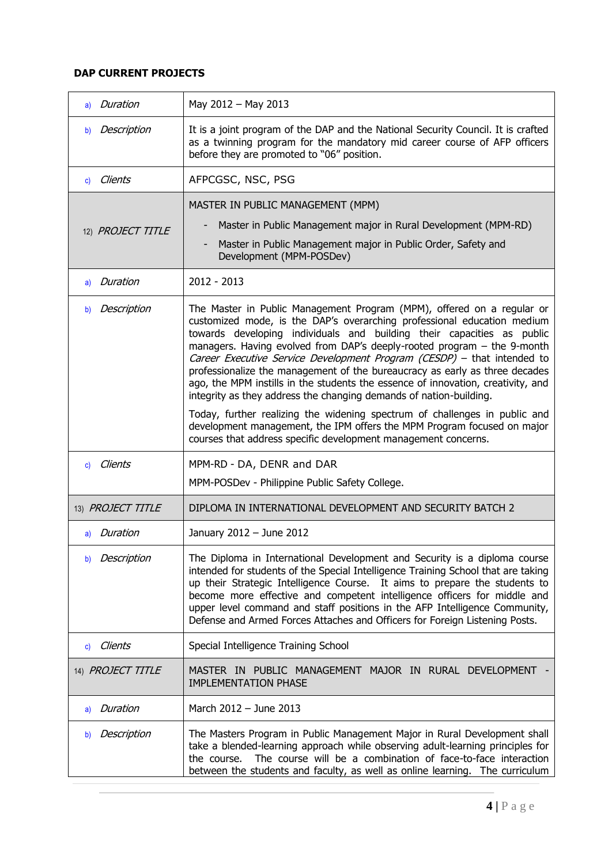| a) Duration       | May 2012 - May 2013                                                                                                                                                                                                                                                                                                                                                                                                                                                                                                                                                                                                        |
|-------------------|----------------------------------------------------------------------------------------------------------------------------------------------------------------------------------------------------------------------------------------------------------------------------------------------------------------------------------------------------------------------------------------------------------------------------------------------------------------------------------------------------------------------------------------------------------------------------------------------------------------------------|
| Description<br>b) | It is a joint program of the DAP and the National Security Council. It is crafted<br>as a twinning program for the mandatory mid career course of AFP officers<br>before they are promoted to "06" position.                                                                                                                                                                                                                                                                                                                                                                                                               |
| Clients<br>c)     | AFPCGSC, NSC, PSG                                                                                                                                                                                                                                                                                                                                                                                                                                                                                                                                                                                                          |
|                   | MASTER IN PUBLIC MANAGEMENT (MPM)                                                                                                                                                                                                                                                                                                                                                                                                                                                                                                                                                                                          |
| 12) PROJECT TITLE | Master in Public Management major in Rural Development (MPM-RD)                                                                                                                                                                                                                                                                                                                                                                                                                                                                                                                                                            |
|                   | Master in Public Management major in Public Order, Safety and<br>Development (MPM-POSDev)                                                                                                                                                                                                                                                                                                                                                                                                                                                                                                                                  |
| Duration<br>a)    | $2012 - 2013$                                                                                                                                                                                                                                                                                                                                                                                                                                                                                                                                                                                                              |
| Description<br>b) | The Master in Public Management Program (MPM), offered on a regular or<br>customized mode, is the DAP's overarching professional education medium<br>towards developing individuals and building their capacities as public<br>managers. Having evolved from DAP's deeply-rooted program - the 9-month<br>Career Executive Service Development Program (CESDP) - that intended to<br>professionalize the management of the bureaucracy as early as three decades<br>ago, the MPM instills in the students the essence of innovation, creativity, and<br>integrity as they address the changing demands of nation-building. |
|                   | Today, further realizing the widening spectrum of challenges in public and<br>development management, the IPM offers the MPM Program focused on major<br>courses that address specific development management concerns.                                                                                                                                                                                                                                                                                                                                                                                                    |
| c) Clients        | MPM-RD - DA, DENR and DAR                                                                                                                                                                                                                                                                                                                                                                                                                                                                                                                                                                                                  |
|                   | MPM-POSDev - Philippine Public Safety College.                                                                                                                                                                                                                                                                                                                                                                                                                                                                                                                                                                             |
| 13) PROJECT TITLE | DIPLOMA IN INTERNATIONAL DEVELOPMENT AND SECURITY BATCH 2                                                                                                                                                                                                                                                                                                                                                                                                                                                                                                                                                                  |
| a) Duration       | January 2012 - June 2012                                                                                                                                                                                                                                                                                                                                                                                                                                                                                                                                                                                                   |
| Description<br>b) | The Diploma in International Development and Security is a diploma course<br>intended for students of the Special Intelligence Training School that are taking<br>up their Strategic Intelligence Course. It aims to prepare the students to<br>become more effective and competent intelligence officers for middle and<br>upper level command and staff positions in the AFP Intelligence Community,<br>Defense and Armed Forces Attaches and Officers for Foreign Listening Posts.                                                                                                                                      |
| Clients<br>C)     | Special Intelligence Training School                                                                                                                                                                                                                                                                                                                                                                                                                                                                                                                                                                                       |
| 14) PROJECT TITLE | MASTER IN PUBLIC MANAGEMENT MAJOR IN RURAL DEVELOPMENT<br><b>IMPLEMENTATION PHASE</b>                                                                                                                                                                                                                                                                                                                                                                                                                                                                                                                                      |
| Duration<br>a)    | March 2012 - June 2013                                                                                                                                                                                                                                                                                                                                                                                                                                                                                                                                                                                                     |
| Description<br>b) | The Masters Program in Public Management Major in Rural Development shall<br>take a blended-learning approach while observing adult-learning principles for<br>The course will be a combination of face-to-face interaction<br>the course.<br>between the students and faculty, as well as online learning. The curriculum                                                                                                                                                                                                                                                                                                 |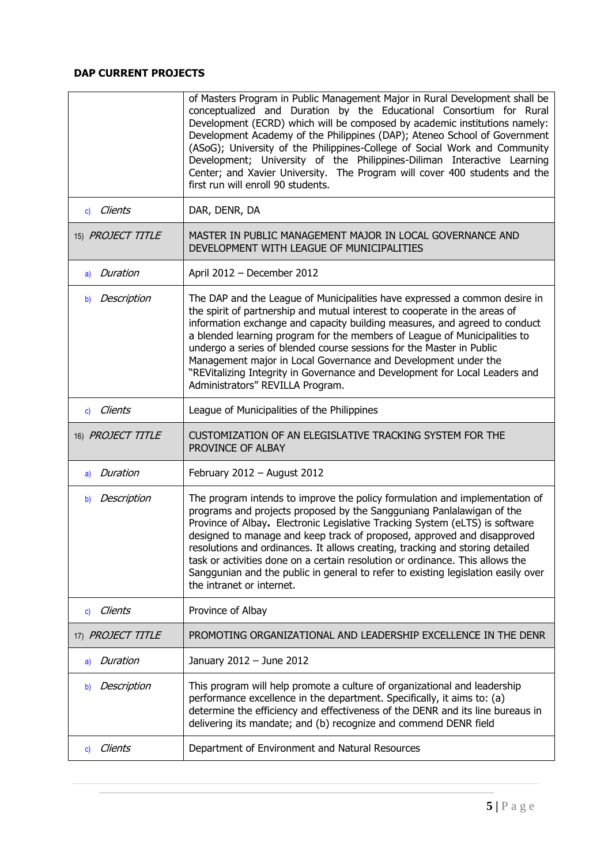|                         | of Masters Program in Public Management Major in Rural Development shall be<br>conceptualized and Duration by the Educational Consortium for Rural<br>Development (ECRD) which will be composed by academic institutions namely:<br>Development Academy of the Philippines (DAP); Ateneo School of Government<br>(ASoG); University of the Philippines-College of Social Work and Community<br>Development; University of the Philippines-Diliman Interactive Learning<br>Center; and Xavier University. The Program will cover 400 students and the<br>first run will enroll 90 students.          |
|-------------------------|-----------------------------------------------------------------------------------------------------------------------------------------------------------------------------------------------------------------------------------------------------------------------------------------------------------------------------------------------------------------------------------------------------------------------------------------------------------------------------------------------------------------------------------------------------------------------------------------------------|
| Clients<br>$\mathbf{c}$ | DAR, DENR, DA                                                                                                                                                                                                                                                                                                                                                                                                                                                                                                                                                                                       |
| 15) PROJECT TITLE       | MASTER IN PUBLIC MANAGEMENT MAJOR IN LOCAL GOVERNANCE AND<br>DEVELOPMENT WITH LEAGUE OF MUNICIPALITIES                                                                                                                                                                                                                                                                                                                                                                                                                                                                                              |
| Duration<br>a)          | April 2012 - December 2012                                                                                                                                                                                                                                                                                                                                                                                                                                                                                                                                                                          |
| Description<br>b)       | The DAP and the League of Municipalities have expressed a common desire in<br>the spirit of partnership and mutual interest to cooperate in the areas of<br>information exchange and capacity building measures, and agreed to conduct<br>a blended learning program for the members of League of Municipalities to<br>undergo a series of blended course sessions for the Master in Public<br>Management major in Local Governance and Development under the<br>"REVitalizing Integrity in Governance and Development for Local Leaders and<br>Administrators" REVILLA Program.                    |
| c) Clients              | League of Municipalities of the Philippines                                                                                                                                                                                                                                                                                                                                                                                                                                                                                                                                                         |
| 16) PROJECT TITLE       | CUSTOMIZATION OF AN ELEGISLATIVE TRACKING SYSTEM FOR THE<br>PROVINCE OF ALBAY                                                                                                                                                                                                                                                                                                                                                                                                                                                                                                                       |
| Duration<br>a)          | February 2012 - August 2012                                                                                                                                                                                                                                                                                                                                                                                                                                                                                                                                                                         |
| Description<br>b)       | The program intends to improve the policy formulation and implementation of<br>programs and projects proposed by the Sangguniang Panlalawigan of the<br>Province of Albay. Electronic Legislative Tracking System (eLTS) is software<br>designed to manage and keep track of proposed, approved and disapproved<br>resolutions and ordinances. It allows creating, tracking and storing detailed<br>task or activities done on a certain resolution or ordinance. This allows the<br>Sanggunian and the public in general to refer to existing legislation easily over<br>the intranet or internet. |
| Clients<br>C)           | Province of Albay                                                                                                                                                                                                                                                                                                                                                                                                                                                                                                                                                                                   |
| 17) PROJECT TITLE       | PROMOTING ORGANIZATIONAL AND LEADERSHIP EXCELLENCE IN THE DENR                                                                                                                                                                                                                                                                                                                                                                                                                                                                                                                                      |
| Duration<br>a)          | January 2012 - June 2012                                                                                                                                                                                                                                                                                                                                                                                                                                                                                                                                                                            |
| Description<br>b)       | This program will help promote a culture of organizational and leadership<br>performance excellence in the department. Specifically, it aims to: (a)<br>determine the efficiency and effectiveness of the DENR and its line bureaus in<br>delivering its mandate; and (b) recognize and commend DENR field                                                                                                                                                                                                                                                                                          |
| Clients<br>$\mathbf{C}$ | Department of Environment and Natural Resources                                                                                                                                                                                                                                                                                                                                                                                                                                                                                                                                                     |

 $\mathbb{R}^2$